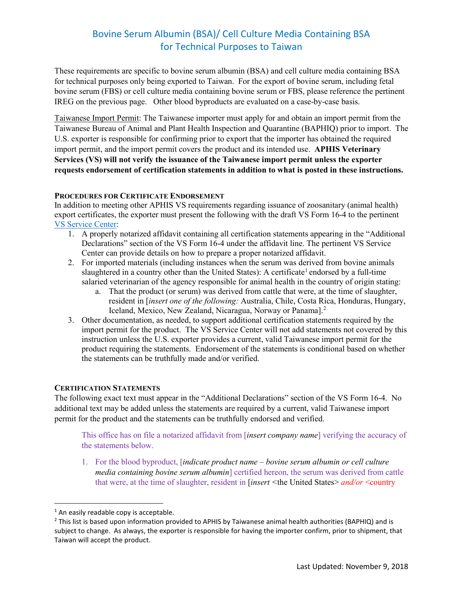# Bovine Serum Albumin (BSA)/ Cell Culture Media Containing BSA for Technical Purposes to Taiwan

These requirements are specific to bovine serum albumin (BSA) and cell culture media containing BSA for technical purposes only being exported to Taiwan. For the export of bovine serum, including fetal bovine serum (FBS) or cell culture media containing bovine serum or FBS, please reference the pertinent IREG on the previous page. Other blood byproducts are evaluated on a case-by-case basis.

Taiwanese Import Permit: The Taiwanese importer must apply for and obtain an import permit from the Taiwanese Bureau of Animal and Plant Health Inspection and Quarantine (BAPHIQ) prior to import. The U.S. exporter is responsible for confirming prior to export that the importer has obtained the required import permit, and the import permit covers the product and its intended use. **APHIS Veterinary Services (VS) will not verify the issuance of the Taiwanese import permit unless the exporter requests endorsement of certification statements in addition to what is posted in these instructions.** 

### **PROCEDURES FOR CERTIFICATE ENDORSEMENT**

In addition to meeting other APHIS VS requirements regarding issuance of zoosanitary (animal health) export certificates, the exporter must present the following with the draft VS Form 16-4 to the pertinent [VS Service Center:](https://www.aphis.usda.gov/animal_health/downloads/nies_contacts/sc.pdf)

- 1. A properly notarized affidavit containing all certification statements appearing in the "Additional Declarations" section of the VS Form 16-4 under the affidavit line. The pertinent VS Service Center can provide details on how to prepare a proper notarized affidavit.
- 2. For imported materials (including instances when the serum was derived from bovine animals slaughtered in a country other than the United States): A certificate<sup>[1](#page-0-0)</sup> endorsed by a full-time salaried veterinarian of the agency responsible for animal health in the country of origin stating:
	- a. That the product (or serum) was derived from cattle that were, at the time of slaughter, resident in [*insert one of the following:* Australia, Chile, Costa Rica, Honduras, Hungary, Iceland, Mexico, New Zealand, Nicaragua, Norway or Panama].<sup>[2](#page-0-1)</sup>
- 3. Other documentation, as needed, to support additional certification statements required by the import permit for the product. The VS Service Center will not add statements not covered by this instruction unless the U.S. exporter provides a current, valid Taiwanese import permit for the product requiring the statements. Endorsement of the statements is conditional based on whether the statements can be truthfully made and/or verified.

### **CERTIFICATION STATEMENTS**

The following exact text must appear in the "Additional Declarations" section of the VS Form 16-4. No additional text may be added unless the statements are required by a current, valid Taiwanese import permit for the product and the statements can be truthfully endorsed and verified.

This office has on file a notarized affidavit from [*insert company name*] verifying the accuracy of the statements below.

1. For the blood byproduct, [*indicate product name – bovine serum albumin or cell culture media containing bovine serum albumin*] certified hereon, the serum was derived from cattle that were, at the time of slaughter, resident in [*insert <*the United States> *and/or* <country

<span id="page-0-0"></span><sup>&</sup>lt;sup>1</sup> An easily readable copy is acceptable.

<span id="page-0-1"></span> $<sup>2</sup>$  This list is based upon information provided to APHIS by Taiwanese animal health authorities (BAPHIQ) and is</sup> subject to change. As always, the exporter is responsible for having the importer confirm, prior to shipment, that Taiwan will accept the product.